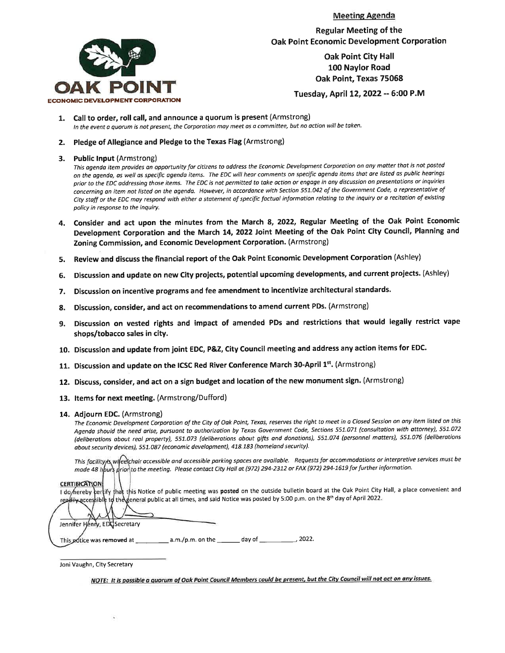



**Regular Meeting of the Oak Point Economic Development Corporation** 

> **Oak Point City Hall** 100 Naylor Road Oak Point, Texas 75068

Tuesday, April 12, 2022 -- 6:00 P.M

- Call to order, roll call, and announce a quorum is present (Armstrong) In the event a quorum is not present, the Corporation may meet as a committee, but no action will be taken.
- 2. Pledge of Allegiance and Pledge to the Texas Flag (Armstrong)

#### 3. Public Input (Armstrong)

This agenda item provides an opportunity for citizens to address the Economic Development Corporation on any matter that is not posted on the agenda, as well as specific agenda items. The EDC will hear comments on specific agenda items that are listed as public hearings prior to the EDC addressing those items. The EDC is not permitted to take action or engage in any discussion on presentations or inquiries concerning an item not listed on the agenda. However, in accordance with Section 551.042 of the Government Code, a representative of City staff or the EDC may respond with either a statement of specific factual information relating to the inquiry or a recitation of existing policy in response to the inquiry.

- 4. Consider and act upon the minutes from the March 8, 2022, Regular Meeting of the Oak Point Economic Development Corporation and the March 14, 2022 Joint Meeting of the Oak Point City Council, Planning and Zoning Commission, and Economic Development Corporation. (Armstrong)
- Review and discuss the financial report of the Oak Point Economic Development Corporation (Ashley) 5.
- Discussion and update on new City projects, potential upcoming developments, and current projects. (Ashley) 6.
- Discussion on incentive programs and fee amendment to incentivize architectural standards. 7.
- Discussion, consider, and act on recommendations to amend current PDs. (Armstrong) 8.
- 9. Discussion on vested rights and impact of amended PDs and restrictions that would legally restrict vape shops/tobacco sales in city.
- 10. Discussion and update from joint EDC, P&Z, City Council meeting and address any action items for EDC.
- 11. Discussion and update on the ICSC Red River Conference March 30-April 1st. (Armstrong)
- 12. Discuss, consider, and act on a sign budget and location of the new monument sign. (Armstrong)
- 13. Items for next meeting. (Armstrong/Dufford)
- 14. Adjourn EDC. (Armstrong)

The Economic Development Corporation of the City of Oak Point, Texas, reserves the right to meet in a Closed Session on any item listed on this Agenda should the need arise, pursuant to authorization by Texas Government Code, Sections 551.071 (consultation with attorney), 551.072 (deliberations about real property), 551.073 (deliberations about gifts and donations), 551.074 (personnel matters), 551.076 (deliberations about security devices), 551.087 (economic development), 418.183 (homeland security).

This facility/is wheelchair accessible and accessible parking spaces are available. Requests for accommodations or interpretive services must be made 48 hpurs prior to the meeting. Please contact City Hall at (972) 294-2312 or FAX (972) 294-1619 for further information.

#### **CERTIBICATION**

I do hereby certify that this Notice of public meeting was posted on the outside bulletin board at the Oak Point City Hall, a place convenient and readily accessible to the general public at all times, and said Notice was posted by 5:00 p.m. on the 8th day of April 2022.

| Jennifer Henry, EDC Secretary |                    |        |       |
|-------------------------------|--------------------|--------|-------|
| This notice was removed at    | $a.m./p.m.$ on the | day of | 2022. |

Joni Vaughn, City Secretary

NOTE: It is possible a quorum of Oak Point Council Members could be present, but the City Council will not act on any issues.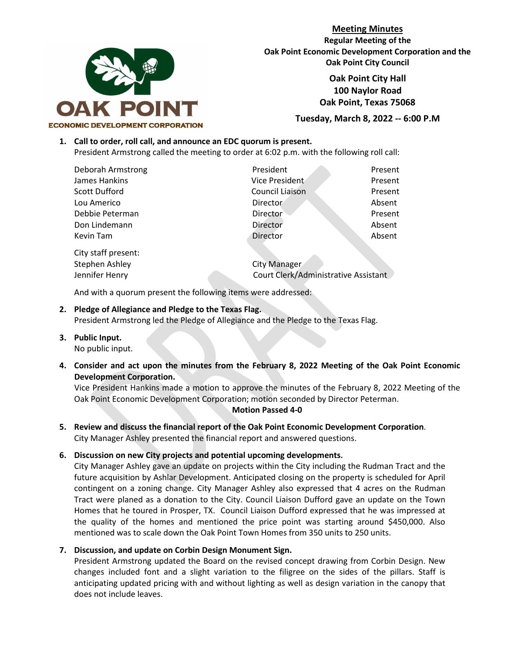

**Meeting Minutes Regular Meeting of the Oak Point Economic Development Corporation and the Oak Point City Council**

> **Oak Point City Hall 100 Naylor Road Oak Point, Texas 75068**

**Tuesday, March 8, 2022 -- 6:00 P.M**

# **1. Call to order, roll call, and announce an EDC quorum is present.**

President Armstrong called the meeting to order at 6:02 p.m. with the following roll call:

| Deborah Armstrong    | President       | Present |
|----------------------|-----------------|---------|
| James Hankins        | Vice President  | Present |
| <b>Scott Dufford</b> | Council Liaison | Present |
| Lou Americo          | <b>Director</b> | Absent  |
| Debbie Peterman      | <b>Director</b> | Present |
| Don Lindemann        | Director        | Absent  |
| Kevin Tam            | Director        | Absent  |

City staff present:

Stephen Ashley **City Manager** Jennifer Henry Court Clerk/Administrative Assistant

And with a quorum present the following items were addressed:

# **2. Pledge of Allegiance and Pledge to the Texas Flag.**

President Armstrong led the Pledge of Allegiance and the Pledge to the Texas Flag.

- **3. Public Input.** No public input.
- **4. Consider and act upon the minutes from the February 8, 2022 Meeting of the Oak Point Economic Development Corporation.**

Vice President Hankins made a motion to approve the minutes of the February 8, 2022 Meeting of the Oak Point Economic Development Corporation; motion seconded by Director Peterman.

# **Motion Passed 4-0**

- **5. Review and discuss the financial report of the Oak Point Economic Development Corporation**. City Manager Ashley presented the financial report and answered questions.
- **6. Discussion on new City projects and potential upcoming developments.**

City Manager Ashley gave an update on projects within the City including the Rudman Tract and the future acquisition by Ashlar Development. Anticipated closing on the property is scheduled for April contingent on a zoning change. City Manager Ashley also expressed that 4 acres on the Rudman Tract were planed as a donation to the City. Council Liaison Dufford gave an update on the Town Homes that he toured in Prosper, TX. Council Liaison Dufford expressed that he was impressed at the quality of the homes and mentioned the price point was starting around \$450,000. Also mentioned was to scale down the Oak Point Town Homes from 350 units to 250 units.

# **7. Discussion, and update on Corbin Design Monument Sign.**

President Armstrong updated the Board on the revised concept drawing from Corbin Design. New changes included font and a slight variation to the filigree on the sides of the pillars. Staff is anticipating updated pricing with and without lighting as well as design variation in the canopy that does not include leaves.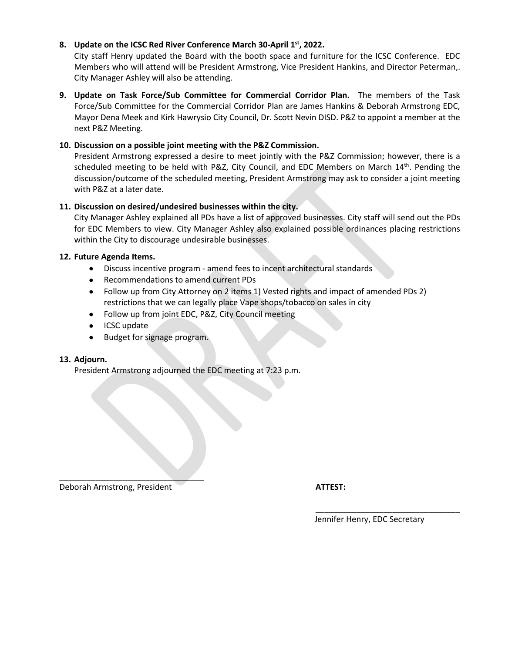# **8. Update on the ICSC Red River Conference March 30-April 1st, 2022.**

City staff Henry updated the Board with the booth space and furniture for the ICSC Conference. EDC Members who will attend will be President Armstrong, Vice President Hankins, and Director Peterman,. City Manager Ashley will also be attending.

**9. Update on Task Force/Sub Committee for Commercial Corridor Plan.** The members of the Task Force/Sub Committee for the Commercial Corridor Plan are James Hankins & Deborah Armstrong EDC, Mayor Dena Meek and Kirk Hawrysio City Council, Dr. Scott Nevin DISD. P&Z to appoint a member at the next P&Z Meeting.

# **10. Discussion on a possible joint meeting with the P&Z Commission.**

President Armstrong expressed a desire to meet jointly with the P&Z Commission; however, there is a scheduled meeting to be held with P&Z, City Council, and EDC Members on March 14<sup>th</sup>. Pending the discussion/outcome of the scheduled meeting, President Armstrong may ask to consider a joint meeting with P&Z at a later date.

# **11. Discussion on desired/undesired businesses within the city.**

City Manager Ashley explained all PDs have a list of approved businesses. City staff will send out the PDs for EDC Members to view. City Manager Ashley also explained possible ordinances placing restrictions within the City to discourage undesirable businesses.

# **12. Future Agenda Items.**

- Discuss incentive program amend fees to incent architectural standards
- Recommendations to amend current PDs
- Follow up from City Attorney on 2 items 1) Vested rights and impact of amended PDs 2) restrictions that we can legally place Vape shops/tobacco on sales in city
- Follow up from joint EDC, P&Z, City Council meeting
- ICSC update
- Budget for signage program.

# **13. Adjourn.**

President Armstrong adjourned the EDC meeting at 7:23 p.m.

Deborah Armstrong, President **ATTEST:**

 $\overline{\phantom{a}}$  , where  $\overline{\phantom{a}}$  , where  $\overline{\phantom{a}}$  , where  $\overline{\phantom{a}}$ 

Jennifer Henry, EDC Secretary

\_\_\_\_\_\_\_\_\_\_\_\_\_\_\_\_\_\_\_\_\_\_\_\_\_\_\_\_\_\_\_\_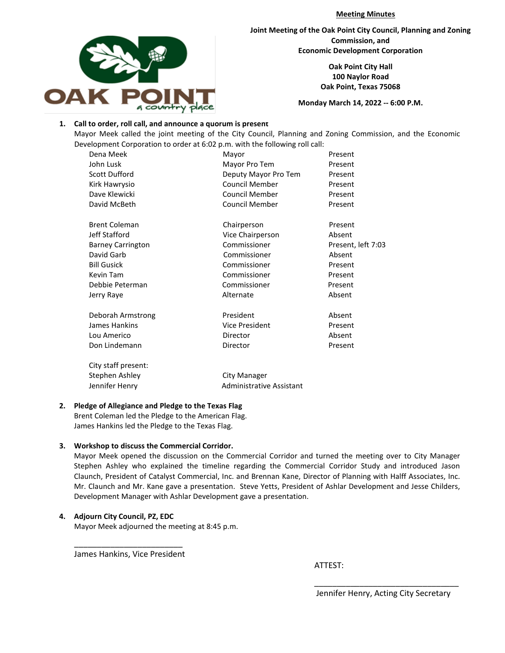**Meeting Minutes**



**Joint Meeting of the Oak Point City Council, Planning and Zoning Commission, and Economic Development Corporation**

> **Oak Point City Hall 100 Naylor Road Oak Point, Texas 75068**

**Monday March 14, 2022 -- 6:00 P.M.**

#### **1. Call to order, roll call, and announce a quorum is present**

Mayor Meek called the joint meeting of the City Council, Planning and Zoning Commission, and the Economic Development Corporation to order at 6:02 p.m. with the following roll call:

| Dena Meek                | Mayor                           | Present            |
|--------------------------|---------------------------------|--------------------|
| John Lusk                | Mayor Pro Tem                   | Present            |
| <b>Scott Dufford</b>     | Deputy Mayor Pro Tem            | Present            |
| Kirk Hawrysio            | <b>Council Member</b>           | Present            |
| Dave Klewicki            | Council Member                  | Present            |
| David McBeth             | <b>Council Member</b>           | Present            |
|                          |                                 |                    |
| <b>Brent Coleman</b>     | Chairperson                     | Present            |
| Jeff Stafford            | Vice Chairperson                | Absent             |
| <b>Barney Carrington</b> | Commissioner                    | Present, left 7:03 |
| David Garb               | Commissioner                    | Absent             |
| <b>Bill Gusick</b>       | Commissioner                    | Present            |
| Kevin Tam                | Commissioner                    | Present            |
| Debbie Peterman          | Commissioner                    | Present            |
| Jerry Raye               | Alternate                       | Absent             |
|                          |                                 |                    |
| Deborah Armstrong        | President                       | Absent             |
| James Hankins            | Vice President                  | Present            |
| Lou Americo              | Director                        | Absent             |
| Don Lindemann            | Director                        | Present            |
|                          |                                 |                    |
| City staff present:      |                                 |                    |
| Stephen Ashley           | <b>City Manager</b>             |                    |
| Jennifer Henry           | <b>Administrative Assistant</b> |                    |
|                          |                                 |                    |

#### **2. Pledge of Allegiance and Pledge to the Texas Flag**

Brent Coleman led the Pledge to the American Flag. James Hankins led the Pledge to the Texas Flag.

#### **3. Workshop to discuss the Commercial Corridor.**

Mayor Meek opened the discussion on the Commercial Corridor and turned the meeting over to City Manager Stephen Ashley who explained the timeline regarding the Commercial Corridor Study and introduced Jason Claunch, President of Catalyst Commercial, Inc. and Brennan Kane, Director of Planning with Halff Associates, Inc. Mr. Claunch and Mr. Kane gave a presentation. Steve Yetts, President of Ashlar Development and Jesse Childers, Development Manager with Ashlar Development gave a presentation.

 $\overline{\phantom{a}}$  , and the contract of the contract of the contract of the contract of the contract of the contract of the contract of the contract of the contract of the contract of the contract of the contract of the contrac

# **4. Adjourn City Council, PZ, EDC**

Mayor Meek adjourned the meeting at 8:45 p.m.

\_\_\_\_\_\_\_\_\_\_\_\_\_\_\_\_\_\_\_\_\_\_\_\_ James Hankins, Vice President

ATTEST: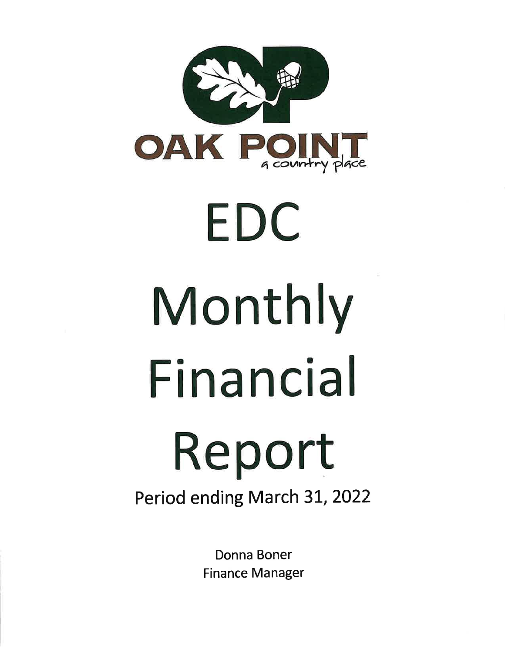

# EDC Monthly Financial Report Period ending March 31, 2022

Donna Boner **Finance Manager**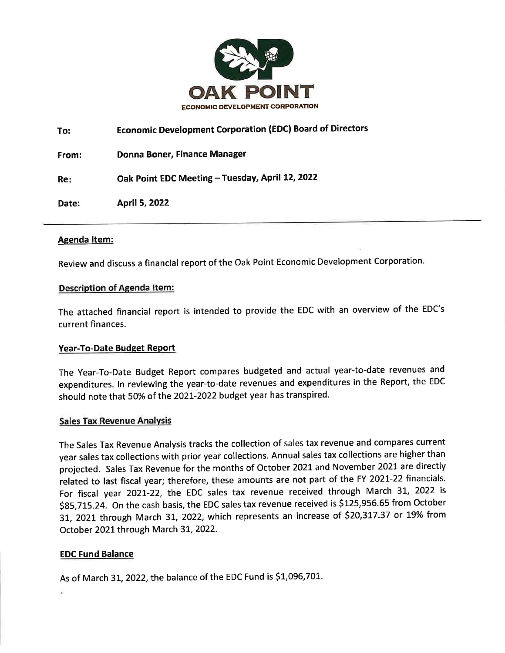

**Economic Development Corporation (EDC) Board of Directors** To: Donna Boner, Finance Manager From: Oak Point EDC Meeting - Tuesday, April 12, 2022 Re: Date: April 5, 2022

# **Agenda Item:**

Review and discuss a financial report of the Oak Point Economic Development Corporation.

# **Description of Agenda Item:**

The attached financial report is intended to provide the EDC with an overview of the EDC's current finances.

# Year-To-Date Budget Report

The Year-To-Date Budget Report compares budgeted and actual year-to-date revenues and expenditures. In reviewing the year-to-date revenues and expenditures in the Report, the EDC should note that 50% of the 2021-2022 budget year has transpired.

# **Sales Tax Revenue Analysis**

The Sales Tax Revenue Analysis tracks the collection of sales tax revenue and compares current year sales tax collections with prior year collections. Annual sales tax collections are higher than projected. Sales Tax Revenue for the months of October 2021 and November 2021 are directly related to last fiscal year; therefore, these amounts are not part of the FY 2021-22 financials. For fiscal year 2021-22, the EDC sales tax revenue received through March 31, 2022 is \$85,715.24. On the cash basis, the EDC sales tax revenue received is \$125,956.65 from October 31, 2021 through March 31, 2022, which represents an increase of \$20,317.37 or 19% from October 2021 through March 31, 2022.

# **EDC Fund Balance**

As of March 31, 2022, the balance of the EDC Fund is \$1,096,701.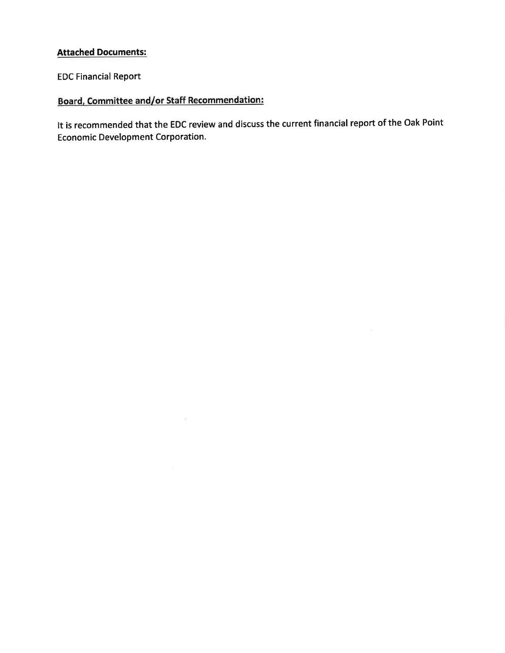# **Attached Documents:**

**EDC Financial Report** 

# **Board, Committee and/or Staff Recommendation:**

 $\overline{\mathcal{O}}$ 

It is recommended that the EDC review and discuss the current financial report of the Oak Point **Economic Development Corporation.**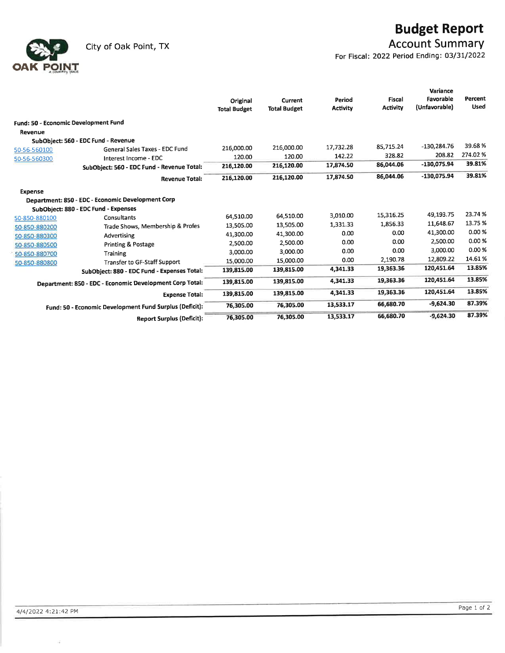City of Oak Point, TX



# **Budget Report**

**Account Summary** 

For Fiscal: 2022 Period Ending: 03/31/2022

|                |                                                          | Original<br><b>Total Budget</b> | Current<br><b>Total Budget</b> | Period<br><b>Activity</b> | <b>Fiscal</b><br>Activity | Variance<br>Favorable<br>(Unfavorable) | Percent<br><b>Used</b> |
|----------------|----------------------------------------------------------|---------------------------------|--------------------------------|---------------------------|---------------------------|----------------------------------------|------------------------|
|                | Fund: 50 - Economic Development Fund                     |                                 |                                |                           |                           |                                        |                        |
| Revenue        |                                                          |                                 |                                |                           |                           |                                        |                        |
|                | SubObject: 560 - EDC Fund - Revenue                      |                                 |                                |                           |                           |                                        |                        |
| 50-56-560100   | General Sales Taxes - EDC Fund                           | 216,000.00                      | 216.000.00                     | 17,732.28                 | 85,715.24                 | $-130,284.76$                          | 39.68%                 |
| 50-56-560300   | Interest Income - EDC                                    | 120.00                          | 120.00                         | 142.22                    | 328.82                    | 208.82                                 | 274.02%                |
|                | SubObject: 560 - EDC Fund - Revenue Total:               | 216,120.00                      | 216,120.00                     | 17,874.50                 | 86,044.06                 | -130,075.94                            | 39.81%                 |
|                | <b>Revenue Total:</b>                                    | 216,120.00                      | 216,120.00                     | 17,874.50                 | 86,044.06                 | -130,075.94                            | 39.81%                 |
| <b>Expense</b> |                                                          |                                 |                                |                           |                           |                                        |                        |
|                | Department: 850 - EDC - Economic Development Corp        |                                 |                                |                           |                           |                                        |                        |
|                | SubObject: 880 - EDC Fund - Expenses                     |                                 |                                |                           |                           |                                        |                        |
| 50-850-880100  | Consultants                                              | 64,510.00                       | 64,510.00                      | 3,010.00                  | 15,316.25                 | 49,193.75                              | 23.74%                 |
| 50-850-880200  | Trade Shows, Membership & Profes                         | 13,505.00                       | 13,505.00                      | 1,331.33                  | 1,856.33                  | 11,648.67                              | 13.75 %                |
| 50-850-880300  | Advertising                                              | 41,300.00                       | 41,300.00                      | 0.00                      | 0.00                      | 41,300.00                              | 0.00%                  |
| 50-850-880500  | Printing & Postage                                       | 2,500.00                        | 2,500.00                       | 0.00                      | 0.00                      | 2,500.00                               | 0.00%                  |
| 50-850-880700  | Training                                                 | 3.000.00                        | 3,000.00                       | 0.00                      | 0.00                      | 3,000.00                               | 0.00%                  |
| 50-850-880800  | <b>Transfer to GF-Staff Support</b>                      | 15,000.00                       | 15,000.00                      | 0.00                      | 2,190.78                  | 12,809.22                              | 14.61%                 |
|                | SubObject: 880 - EDC Fund - Expenses Total:              | 139,815.00                      | 139,815.00                     | 4,341.33                  | 19,363.36                 | 120,451.64                             | 13.85%                 |
|                | Department: 850 - EDC - Economic Development Corp Total: | 139,815.00                      | 139,815.00                     | 4,341.33                  | 19,363.36                 | 120,451.64                             | 13.85%                 |
|                | <b>Expense Total:</b>                                    | 139,815.00                      | 139,815.00                     | 4,341.33                  | 19,363.36                 | 120.451.64                             | 13.85%                 |
|                | Fund: 50 - Economic Development Fund Surplus (Deficit):  | 76,305.00                       | 76,305.00                      | 13,533.17                 | 66,680.70                 | $-9,624.30$                            | 87.39%                 |
|                | <b>Report Surplus (Deficit):</b>                         | 76,305.00                       | 76,305.00                      | 13,533.17                 | 66,680.70                 | $-9,624.30$                            | 87.39%                 |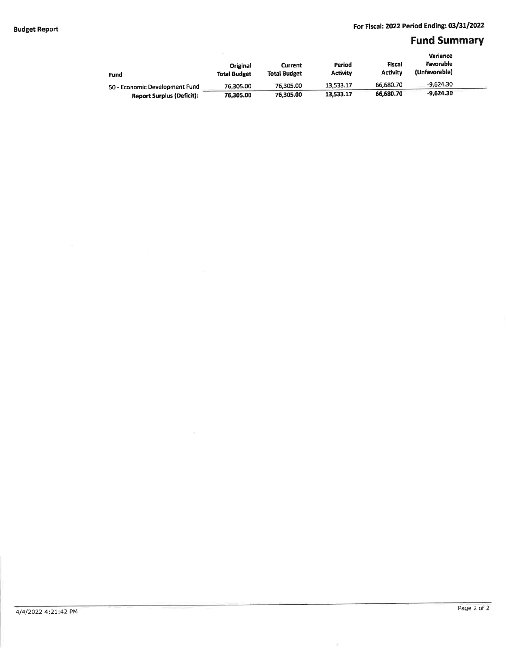# **Fund Summary**

| Fund                             | Original<br><b>Total Budget</b> | <b>Current</b><br><b>Total Budget</b> | Period<br><b>Activity</b> | Fiscal<br><b>Activity</b> | Variance<br>Favorable<br>(Unfavorable) |  |
|----------------------------------|---------------------------------|---------------------------------------|---------------------------|---------------------------|----------------------------------------|--|
| 50 - Economic Development Fund   | 76.305.00                       | 76.305.00                             | 13,533.17                 | 66.680.70                 | $-9.624.30$                            |  |
| <b>Report Surplus (Deficit):</b> | 76,305.00                       | 76.305.00                             | 13,533.17                 | 66,680.70                 | $-9.624.30$                            |  |

 $\widetilde{\mathcal{N}}$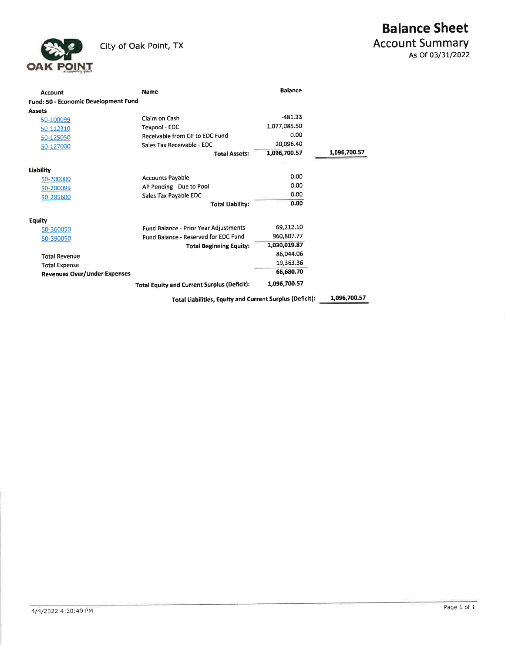

| Account                              | <b>Name</b>                                              | <b>Balance</b> |              |
|--------------------------------------|----------------------------------------------------------|----------------|--------------|
| Fund: 50 - Economic Development Fund |                                                          |                |              |
| <b>Assets</b>                        |                                                          |                |              |
| 50-100099                            | Claim on Cash                                            | $-481.33$      |              |
| 50-112310                            | Texpool - EDC                                            | 1,077,085.50   |              |
| 50-125050                            | <b>Receivable from GF to EDC Fund</b>                    | 0.00           |              |
| 50-127000                            | Sales Tax Receivable - EDC                               | 20,096.40      |              |
|                                      | <b>Total Assets:</b>                                     | 1,096,700.57   | 1,096,700.57 |
|                                      |                                                          |                |              |
| Liability                            |                                                          |                |              |
| 50-200000                            | <b>Accounts Payable</b>                                  | 0.00           |              |
| 50-200099                            | AP Pending - Due to Pool                                 | 0.00           |              |
| 50-285600                            | Sales Tax Payable EDC                                    | 0.00           |              |
|                                      | <b>Total Liability:</b>                                  | 0.00           |              |
| Equity                               |                                                          |                |              |
| 50-360050                            | Fund Balance - Prior Year Adjustments                    | 69,212.10      |              |
| 50-390050                            | Fund Balance - Reserved for EDC Fund                     | 960,807.77     |              |
|                                      | <b>Total Beginning Equity:</b>                           | 1,030,019.87   |              |
| <b>Total Revenue</b>                 |                                                          | 86,044.06      |              |
| <b>Total Expense</b>                 |                                                          | 19,363.36      |              |
| <b>Revenues Over/Under Expenses</b>  |                                                          | 66,680.70      |              |
|                                      | Total Equity and Current Surplus (Deficit):              | 1,096,700.57   |              |
|                                      | Total Liabilities, Equity and Current Surplus (Deficit): |                | 1,096,700.57 |

4/4/2022 4:20:49 PM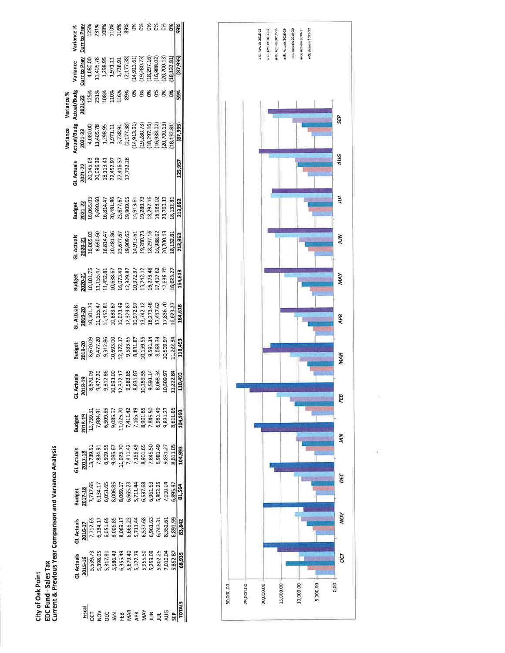City of Oak Point<br>EDC Fund - Sales Tax<br>Current & Previous Year Comparison and Variance Analysis

|                 | Jariance %             | urr to Pre                        |                                                                                                                                                                                                                                                                                                                                                                                                                                                  | ågi                                                                                                    |    |     | š | ŏ,         |  |           |        |
|-----------------|------------------------|-----------------------------------|--------------------------------------------------------------------------------------------------------------------------------------------------------------------------------------------------------------------------------------------------------------------------------------------------------------------------------------------------------------------------------------------------------------------------------------------------|--------------------------------------------------------------------------------------------------------|----|-----|---|------------|--|-----------|--------|
|                 | Variance               |                                   | $\begin{array}{r} \textbf{C} \textbf{L} \textbf{F} \textbf{B} \textbf{B} \textbf{C} \textbf{D} \textbf{F} \textbf{B} \textbf{D} \textbf{D} \textbf{D} \textbf{D} \textbf{D} \textbf{D} \textbf{D} \textbf{D} \textbf{D} \textbf{D} \textbf{D} \textbf{D} \textbf{D} \textbf{D} \textbf{D} \textbf{D} \textbf{D} \textbf{D} \textbf{D} \textbf{D} \textbf{D} \textbf{D} \textbf{D} \textbf{D} \textbf{D} \textbf{D} \textbf$                      |                                                                                                        |    |     |   |            |  | 20,700.13 |        |
| Variance %      | Actual/Budg<br>2021-22 |                                   |                                                                                                                                                                                                                                                                                                                                                                                                                                                  |                                                                                                        |    | 89% |   |            |  |           |        |
| <b>Jariance</b> |                        |                                   | $\begin{array}{r} \textbf{det} \textbf{u} = \textbf{u} \ \textbf{u} = \textbf{u} \ \textbf{u} = \textbf{u} \ \textbf{u} = \textbf{u} \ \textbf{u} = \textbf{u} \ \textbf{u} = \textbf{u} \ \textbf{u} = \textbf{u} \ \textbf{u} = \textbf{u} \ \textbf{u} = \textbf{u} \ \textbf{u} = \textbf{u} \ \textbf{u} = \textbf{u} \ \textbf{u} = \textbf{u} \ \textbf{u} = \textbf{u} \ \textbf{u} = \textbf{u} \ \textbf{u} = \textbf{$                |                                                                                                        |    |     |   |            |  |           |        |
|                 |                        |                                   | L Actuals<br>2021-22<br>20,145.03<br>20,096.33<br>20,452.97<br>27,452.77<br>27,732.28                                                                                                                                                                                                                                                                                                                                                            |                                                                                                        |    |     |   |            |  |           |        |
|                 |                        |                                   |                                                                                                                                                                                                                                                                                                                                                                                                                                                  |                                                                                                        |    |     |   |            |  |           |        |
|                 |                        |                                   | $\begin{array}{l} \textbf{31. At}= \textbf{33.5} \\ \textbf{2020-21} \\ \textbf{35.635.03} \\ \textbf{46.655.03} \\ \textbf{589.05,} \\ \textbf{69.59-481.487.67} \\ \textbf{70.75,} \\ \textbf{81.75,} \\ \textbf{91.75,} \\ \textbf{13.75,} \\ \textbf{13.75,} \\ \textbf{13.75,} \\ \textbf{13.75,} \\ \textbf{13.75,} \\ \textbf{13.75,} \\ \textbf{13.7$                                                                                    |                                                                                                        |    |     |   |            |  |           | 13.95  |
|                 |                        |                                   | $\begin{array}{l} \text{Buge} \\ \text{Buge} \\ \text{202-21} \\ \text{211} \\ \text{121} \\ \text{133} \\ \text{145} \\ \text{156} \\ \text{167} \\ \text{178} \\ \text{189} \\ \text{190} \\ \text{100} \\ \text{101} \\ \text{112} \\ \text{123} \\ \text{130} \\ \text{130} \\ \text{131} \\ \text{132} \\ \text{133} \\ \text{134} \\ \text{135} \\ \text{136} \\ \text{137} \\ \text{138} \\ \text{1$                                      |                                                                                                        |    |     |   |            |  |           |        |
|                 | <b>LActuals</b>        |                                   | $\begin{array}{l} \textbf{2019-20} \\ \textbf{20101.75} \\ \textbf{10101.75} \\ \textbf{111155.47} \\ \textbf{1125.88.} \\ \textbf{12135.89.} \\ \textbf{13135.97} \\ \textbf{1432.81} \\ \textbf{15135.97} \\ \textbf{16173.97} \\ \textbf{17173.48} \\ \textbf{18173.97} \\ \textbf{19173.98.7} \\ \textbf{19173.99.7} \\ \textbf{10173.99.$                                                                                                   |                                                                                                        |    |     |   |            |  |           |        |
|                 |                        |                                   | <b>Budget</b><br><b>2019-20</b><br>8,570.09<br>8,571.71.7383.85<br>9,583.85 85 85 85 85 85 85 85 85 85 86 86 86 96 96 96<br>9,500.09.95 97<br>9,693.95 86 96 96 97<br>11,222.84                                                                                                                                                                                                                                                                  |                                                                                                        |    |     |   |            |  |           |        |
|                 |                        | iL Actuals<br>2018-19<br>8,670.09 |                                                                                                                                                                                                                                                                                                                                                                                                                                                  | 9,477.20<br>9,312.36<br>9,312.5633.00<br>9,593.3583.87<br>9,591.14<br>9,591.14<br>9,068.30<br>9,068.30 |    |     |   |            |  | 1,509.97  |        |
|                 |                        |                                   | <b>Budget</b><br>2018-19<br>2018-19<br>13,739.51<br>5,008.67<br>5,008.57<br>5,008.57<br>7,008.500.57<br>7,008.533.77<br>7,008.533.77<br>7,008.50.100.57<br>7,008.57<br>7,008.57<br>7,008.57                                                                                                                                                                                                                                                      |                                                                                                        |    |     |   |            |  |           |        |
|                 |                        |                                   | $\begin{array}{l} \textbf{1} \textbf{Attual} \\ \textbf{2017-18} \\ \textbf{213-39.51} \\ \textbf{13,739.51} \\ \textbf{13,739.51} \\ \textbf{13,739.51} \\ \textbf{13,739.52} \\ \textbf{13,739.53} \\ \textbf{13,730.57} \\ \textbf{13,731.57} \\ \textbf{13,732.57} \\ \textbf{13,733.58} \\ \textbf{13,734.59} \\ \textbf{14,74.59} \\ \textbf{15,$                                                                                          |                                                                                                        |    |     |   |            |  |           | 04,993 |
|                 |                        |                                   | $\begin{array}{l} \textbf{a} \textbf{u} \textbf{d} \textbf{g} \textbf{t} \\ \textbf{1017-18} \\ \textbf{117.15} \\ \textbf{121.17.55} \\ \textbf{133.4.17} \\ \textbf{153.58} \\ \textbf{163.69}. \\ \textbf{173.73} \\ \textbf{183.73} \\ \textbf{193.73} \\ \textbf{103.73} \\ \textbf{114.48} \\ \textbf{135.73} \\ \textbf{153.73} \\ \textbf{163.73} \\ \textbf{174.$                                                                       |                                                                                                        |    |     |   |            |  |           |        |
|                 | L Actuals              |                                   | $\begin{array}{l} \textbf{2016\_17} \\ \textbf{211} \textbf{7}, \textbf{53} \\ \textbf{7}, \textbf{721}, \textbf{8}, \textbf{8}, \textbf{8}, \textbf{7}, \textbf{7}, \textbf{23}, \textbf{8}, \textbf{8}, \textbf{8}, \textbf{8}, \textbf{9}, \textbf{1}, \textbf{1}, \textbf{2}, \textbf{3}, \textbf{4}, \textbf{5}, \textbf{6}, \textbf{7}, \textbf{8}, \textbf{8}, \textbf{9}, \textbf{1}, \textbf{1}, \textbf{2}, \textbf{3}, \textbf{4}, \$ |                                                                                                        |    |     |   |            |  |           | 83,842 |
|                 |                        |                                   |                                                                                                                                                                                                                                                                                                                                                                                                                                                  |                                                                                                        |    |     |   |            |  |           |        |
|                 |                        |                                   |                                                                                                                                                                                                                                                                                                                                                                                                                                                  |                                                                                                        | ξB |     |   | <b>AVN</b> |  |           |        |



ò.